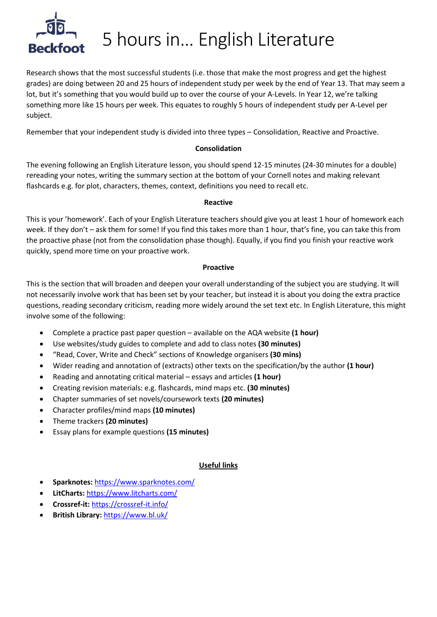

## 5 hours in… English Literature

Research shows that the most successful students (i.e. those that make the most progress and get the highest grades) are doing between 20 and 25 hours of independent study per week by the end of Year 13. That may seem a lot, but it's something that you would build up to over the course of your A-Levels. In Year 12, we're talking something more like 15 hours per week. This equates to roughly 5 hours of independent study per A-Level per subject.

Remember that your independent study is divided into three types – Consolidation, Reactive and Proactive.

#### **Consolidation**

The evening following an English Literature lesson, you should spend 12-15 minutes (24-30 minutes for a double) rereading your notes, writing the summary section at the bottom of your Cornell notes and making relevant flashcards e.g. for plot, characters, themes, context, definitions you need to recall etc.

#### **Reactive**

This is your 'homework'. Each of your English Literature teachers should give you at least 1 hour of homework each week. If they don't – ask them for some! If you find this takes more than 1 hour, that's fine, you can take this from the proactive phase (not from the consolidation phase though). Equally, if you find you finish your reactive work quickly, spend more time on your proactive work.

#### **Proactive**

This is the section that will broaden and deepen your overall understanding of the subject you are studying. It will not necessarily involve work that has been set by your teacher, but instead it is about you doing the extra practice questions, reading secondary criticism, reading more widely around the set text etc. In English Literature, this might involve some of the following:

- Complete a practice past paper question available on the AQA website **(1 hour)**
- Use websites/study guides to complete and add to class notes **(30 minutes)**
- "Read, Cover, Write and Check" sections of Knowledge organisers **(30 mins)**
- Wider reading and annotation of (extracts) other texts on the specification/by the author **(1 hour)**
- Reading and annotating critical material essays and articles **(1 hour)**
- Creating revision materials: e.g. flashcards, mind maps etc. **(30 minutes)**
- Chapter summaries of set novels/coursework texts **(20 minutes)**
- Character profiles/mind maps **(10 minutes)**
- Theme trackers **(20 minutes)**
- Essay plans for example questions **(15 minutes)**

#### **Useful links**

- **Sparknotes:** <https://www.sparknotes.com/>
- **LitCharts:** <https://www.litcharts.com/>
- **Crossref-it:** <https://crossref-it.info/>
- **British Library:** <https://www.bl.uk/>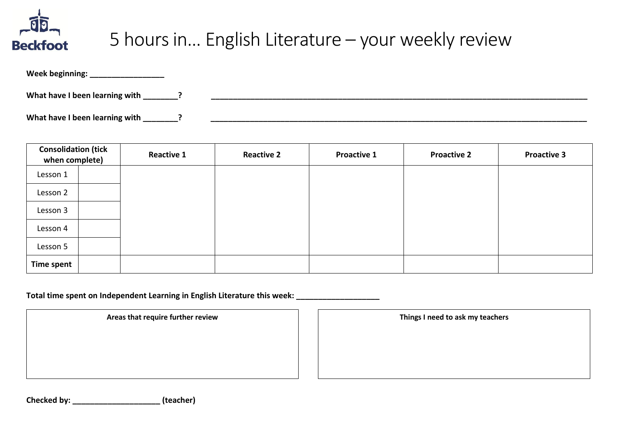

## 5 hours in… English Literature – your weekly review

| Week beginning:                |  |
|--------------------------------|--|
| What have I been learning with |  |
| What have I been learning with |  |

| <b>Consolidation (tick</b><br>when complete) | <b>Reactive 1</b> | <b>Reactive 2</b> | <b>Proactive 1</b> | <b>Proactive 2</b> | <b>Proactive 3</b> |
|----------------------------------------------|-------------------|-------------------|--------------------|--------------------|--------------------|
| Lesson 1                                     |                   |                   |                    |                    |                    |
| Lesson 2                                     |                   |                   |                    |                    |                    |
| Lesson 3                                     |                   |                   |                    |                    |                    |
| Lesson 4                                     |                   |                   |                    |                    |                    |
| Lesson 5                                     |                   |                   |                    |                    |                    |
| Time spent                                   |                   |                   |                    |                    |                    |

Total time spent on Independent Learning in English Literature this week:

Areas that require further review **Things I need to ask my teachers** 

**Checked by: \_\_\_\_\_\_\_\_\_\_\_\_\_\_\_\_\_\_\_\_ (teacher)**